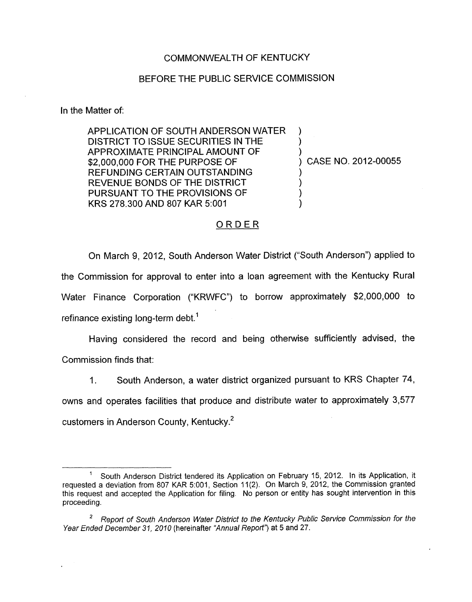## COMMONWEALTH OF KENTUCKY

## BEFORE THE PUBLIC SERVICE COMMISSION

In the Matter of:

APPLICATION OF SOUTH ANDERSON WATER ) DISTRICT TO ISSUE SECURITIES IN THE APPROXIMATE PRINCIPAL AMOUNT OF ) \$2,000,000 FOR THE PURPOSE OF REFUNDING CERTAIN OUTSTANDING REVENUE BONDS OF THE DISTRICT PURSUANT TO THE PROVISIONS OF KRS 278.300 AND 807 KAR 5:001

) CASE **NO.** 2012-00055

## ORDER

On March 9, 2012, South Anderson Water District ("South Anderson") applied to the Commission for approval to enter into a loan agreement with the Kentucky Rural Water Finance Corporation ("KRWFC") to borrow approximately \$2,000,000 to refinance existing long-term debt.<sup>1</sup>

Having considered the record and being otherwise sufficiently advised, the Commission finds that:

1. South Anderson, a water district organized pursuant to KRS Chapter **74,** 

owns and operates facilities that produce and distribute water to approximately 3,577 customers in Anderson County, Kentucky.<sup>2</sup>

<sup>-</sup>  South Anderson District tendered its Application on February 15, 2012. In its Application, it requested a deviation from 807 KAR 5:001, Section 11(2). On March 9, 2012, the Commission granted this request and accepted the Application for filing. No person or entity has sought intervention in this proceeding. 1

*Reporf of South Anderson Water District to the Kentucky Public Service Commission for the Year Ended December 31, 2010* (hereinafter *"Annual Report'?* at *5* and 27. *2*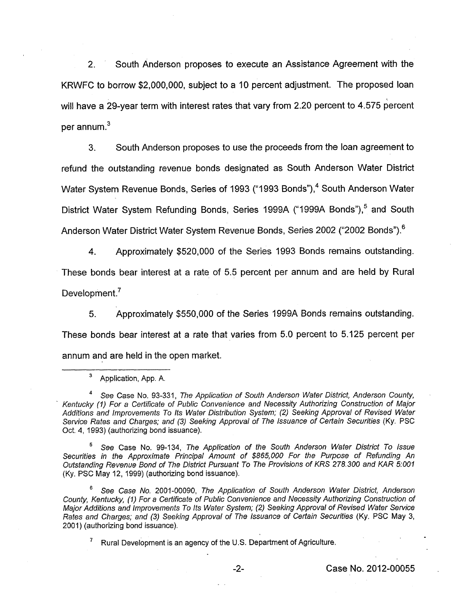2. South Anderson proposes to execute an Assistance Agreement with the KRWFC to borrow \$2,000,000, subject to a 10 percent adjustment. The proposed loan will have a 29-year term with interest rates that vary from 2.20 percent to 4.575 percent per annum. $3$ 

3. South Anderson proposes to use the proceeds from the loan agreement to refund the outstanding revenue bonds designated as South Anderson Water District Water System Revenue Bonds, Series of 1993 ("1993 Bonds"),<sup>4</sup> South Anderson Water District Water System Refunding Bonds, Series 1999A ("1999A Bonds"),<sup>5</sup> and South Anderson Water District Water System Revenue Bonds, Series 2002 ("2002 Bonds").<sup>6</sup>

**4.** Approximately \$520,000 of the Series 1993 Bonds remains outstanding. These bonds bear interest at a rate of 5.5 percent per annum and are held by Rural Development.<sup>7</sup>

**5.** Approximately \$550,000 of the Series 1999A Bonds remains outstanding. These bonds bear interest at a rate that varies from 5.0 percent to 5.125 percent per annum and are held in the open market.

*See* Case No. 99-134, *The Application of the South Anderson Water District To Issue Securities in the Approximate Principal Amount of \$865,000 For the Purpose of Refunding An Outstanding Revenue Bond of The District Pursuant To The Provisions of KRS 278,300 and KAR 5001*  (Ky. PSC May 12, 1999) (authorizing bond issuance).

*See Case No.* 2001-00090, *The Application of South Anderson Wafer District, Anderson Counfy, Kentucky, (I) For a Certificate of Public Convenience and Necessity Authorizing Construction of Major Additions and Improvements To Its Water System;* (2) *Seeking Approval of Revised Water Service Rates and Charges; and (3) Seeking Approval of The Issuance of Certain Securities* (Ky. PSC May 3, 2001) (authorizing bond issuance).

Rural Development is an agency of the **U.S.** Department of Agriculture. **<sup>7</sup>**

Application, App. A. **3** 

*See* Case No. 93-331, *The Application of South Anderson Wafer District, Anderson Counfy, Kentucky (I) For a Cerfificate of Public Convenience and Necessity Authorizing Construction of Major Additions and Improvements To Its Water Distribution System; (2) Seeking Approval* of *Revised Wafer*  Service Rates and Charges; and (3) Seeking Approval of The Issuance of Certain Securities (Ky. PSC Oct. 4, 1993) (authorizing bond issuance).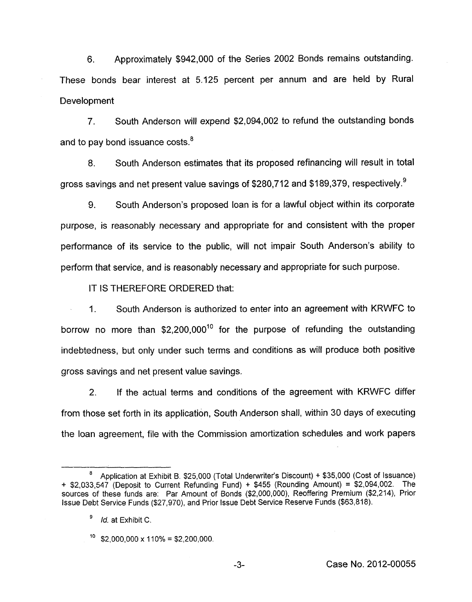**6.** Approximately \$942,000 of the Series 2002 Bonds remains outstanding. These bonds bear interest at 5.125 percent per annum and are held by Rural Development

7. South Anderson will expend \$2,094,002 to refund the outstanding bonds and to pay bond issuance costs.<sup>8</sup>

8. South Anderson estimates that its proposed refinancing will result in total gross savings and net present value savings of \$280,712 and \$189,379, respectively. $9$ 

9. South Anderson's proposed loan is for a lawful object within its corporate purpose, is reasonably necessary and appropriate for and consistent with the proper performance of its service to the public, will not impair South Anderson's ability to perform that service, and is reasonably necessary and appropriate for such purpose.

IT IS THEREFORE ORDERED that:

I. South Anderson is authorized to enter into an agreement with KRWFC to borrow **no** more than \$2,200,00010 for the purpose of refunding the outstanding indebtedness, but only under such terms and conditions as will produce both positive gross savings and net present value savings.

2. If the actual terms and conditions of the agreement with KRWFC differ from those set forth in its application, South Anderson shall, within 30 days of executing the loan agreement, file with the Commission amortization schedules and work papers

Application at Exhibit B. \$25,000 (Total Underwriter's Discount) + \$35,000 (Cost of Issuance) + \$2,033,547 (Deposit to Current Refunding Fund) + \$455 (Rounding Amount) = \$2,094,002. The sources of these funds are: Par Amount of Bonds (\$2,000,000), Reoffering Premium (\$2,214), Prior Issue Debt Service Funds (\$27,970), and Prior Issue Debt Service Reserve Funds (\$63,818). *8* 

<sup>9</sup> *Id.* at Exhibit *C.* 

 $10$  \$2,000,000 x 110% = \$2,200,000.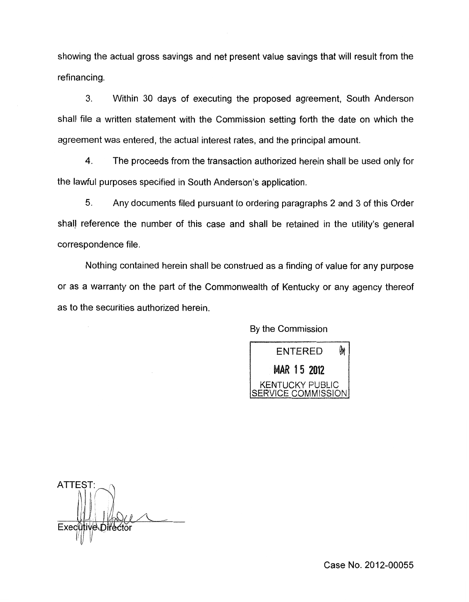showing the actual gross savings and net present value savings that will result from the refinancing.

**3.** Within 30 days of executing the proposed agreement, South Anderson shall file a written statement with the Commission setting forth the date on which the agreement was entered, the actual interest rates, and the principal amount.

**4.** The proceeds from the transaction authorized herein shall be used only for the lawful purposes specified in South Anderson's application.

5. Any documents filed pursuant to ordering paragraphs 2 and 3 of this Order shall reference the number of this case and shall be retained in the utility's general correspondence file.

Nothing contained herein shall be construed as a finding of value for any purpose or as a warranty on the part of the Commonwealth of Kentucky or any agency thereof as to the securities authorized herein.

By the Commission



ATTEST: Execût 'e\Dife

Case No. 2012-00055